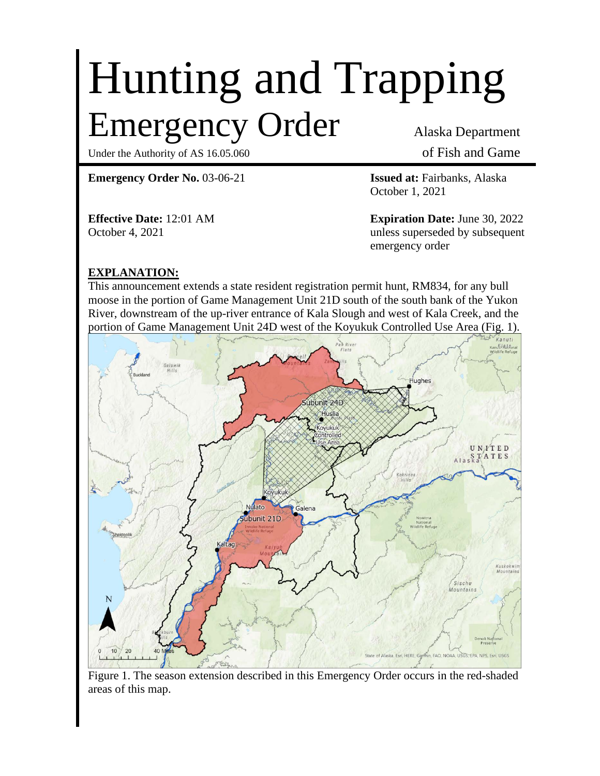# Hunting and Trapping Emergency Order Alaska Department

Under the Authority of AS 16.05.060 of Fish and Game

**Emergency Order No.** 03-06-21 **Issued at:** Fairbanks, Alaska

October 1, 2021

**Effective Date:** 12:01 AM **Expiration Date:** June 30, 2022 October 4, 2021 and the contract of the unless superseded by subsequent emergency order

# **EXPLANATION:**

This announcement extends a state resident registration permit hunt, RM834, for any bull moose in the portion of Game Management Unit 21D south of the south bank of the Yukon River, downstream of the up-river entrance of Kala Slough and west of Kala Creek, and the portion of Game Management Unit 24D west of the Koyukuk Controlled Use Area (Fig. 1).



Figure 1. The season extension described in this Emergency Order occurs in the red-shaded areas of this map.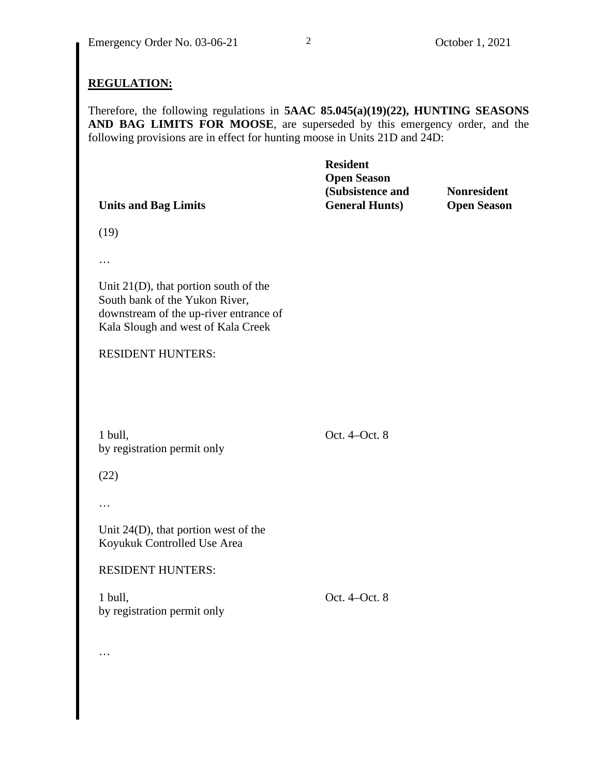### **REGULATION:**

Therefore, the following regulations in **5AAC 85.045(a)(19)(22), HUNTING SEASONS AND BAG LIMITS FOR MOOSE**, are superseded by this emergency order, and the following provisions are in effect for hunting moose in Units 21D and 24D:

|                             | <b>Resident</b>        |                    |
|-----------------------------|------------------------|--------------------|
|                             | <b>Open Season</b>     |                    |
|                             | (Subsistence and       | <b>Nonresident</b> |
| <b>Units and Bag Limits</b> | <b>General Hunts</b> ) | <b>Open Season</b> |

(19)

…

Unit 21(D), that portion south of the South bank of the Yukon River, downstream of the up-river entrance of Kala Slough and west of Kala Creek

#### RESIDENT HUNTERS:

1 bull, by registration permit only Oct. 4–Oct. 8

(22)

…

…

Unit 24(D), that portion west of the Koyukuk Controlled Use Area

RESIDENT HUNTERS:

1 bull, by registration permit only Oct. 4–Oct. 8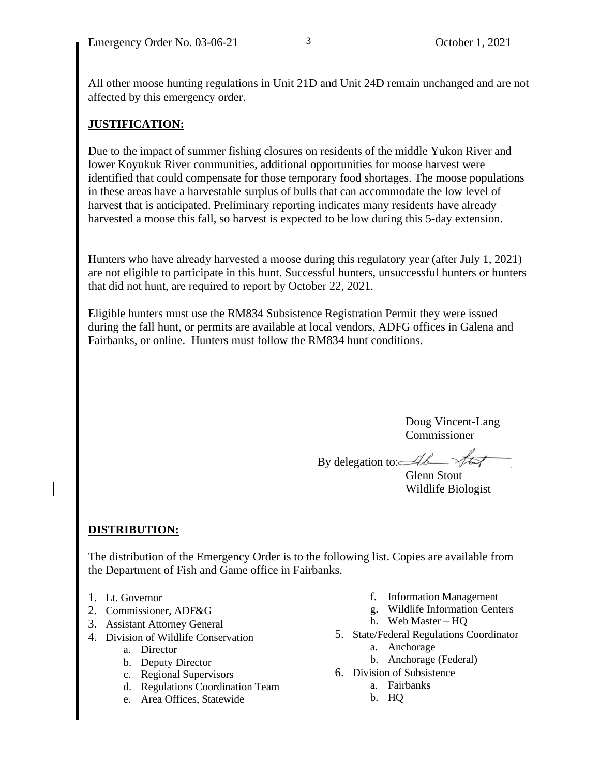All other moose hunting regulations in Unit 21D and Unit 24D remain unchanged and are not affected by this emergency order.

# **JUSTIFICATION:**

Due to the impact of summer fishing closures on residents of the middle Yukon River and lower Koyukuk River communities, additional opportunities for moose harvest were identified that could compensate for those temporary food shortages. The moose populations in these areas have a harvestable surplus of bulls that can accommodate the low level of harvest that is anticipated. Preliminary reporting indicates many residents have already harvested a moose this fall, so harvest is expected to be low during this 5-day extension.

Hunters who have already harvested a moose during this regulatory year (after July 1, 2021) are not eligible to participate in this hunt. Successful hunters, unsuccessful hunters or hunters that did not hunt, are required to report by October 22, 2021.

Eligible hunters must use the RM834 Subsistence Registration Permit they were issued during the fall hunt, or permits are available at local vendors, ADFG offices in Galena and Fairbanks, or online. Hunters must follow the RM834 hunt conditions.

> Doug Vincent-Lang Commissioner

By delegation to: $\mathcal{A}\ell$ 

Glenn Stout Wildlife Biologist

# **DISTRIBUTION:**

The distribution of the Emergency Order is to the following list. Copies are available from the Department of Fish and Game office in Fairbanks.

- 1. Lt. Governor
- 2. Commissioner, ADF&G
- 3. Assistant Attorney General
- 4. Division of Wildlife Conservation
	- a. Director
	- b. Deputy Director
	- c. Regional Supervisors
	- d. Regulations Coordination Team
	- e. Area Offices, Statewide
- f. Information Management
- g. Wildlife Information Centers
- h. Web Master HQ
- 5. State/Federal Regulations Coordinator
	- a. Anchorage
	- b. Anchorage (Federal)
- 6. Division of Subsistence
	- a. Fairbanks
	- b. HQ